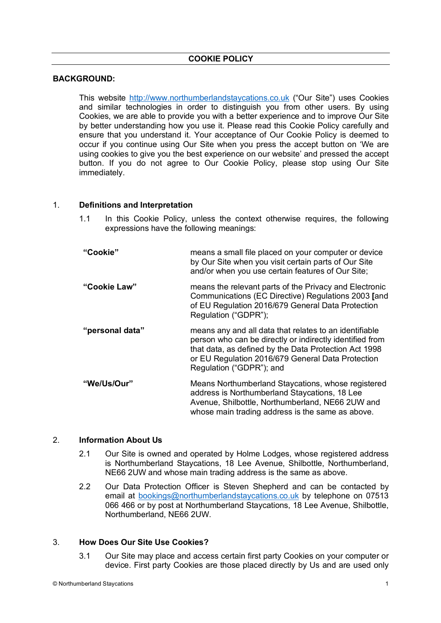# **BACKGROUND:**

This website http://www.northumberlandstaycations.co.uk ("Our Site") uses Cookies and similar technologies in order to distinguish you from other users. By using Cookies, we are able to provide you with a better experience and to improve Our Site by better understanding how you use it. Please read this Cookie Policy carefully and ensure that you understand it. Your acceptance of Our Cookie Policy is deemed to occur if you continue using Our Site when you press the accept button on 'We are using cookies to give you the best experience on our website' and pressed the accept button. If you do not agree to Our Cookie Policy, please stop using Our Site immediately.

# 1. **Definitions and Interpretation**

- 1.1 In this Cookie Policy, unless the context otherwise requires, the following expressions have the following meanings:
- **"Cookie"** means a small file placed on your computer or device by Our Site when you visit certain parts of Our Site and/or when you use certain features of Our Site; **"Cookie Law"** means the relevant parts of the Privacy and Electronic Communications (EC Directive) Regulations 2003 **[**and of EU Regulation 2016/679 General Data Protection Regulation ("GDPR"); **"personal data"** means any and all data that relates to an identifiable person who can be directly or indirectly identified from that data, as defined by the Data Protection Act 1998 or EU Regulation 2016/679 General Data Protection Regulation ("GDPR"); and **"We/Us/Our"** Means Northumberland Staycations, whose registered address is Northumberland Staycations, 18 Lee Avenue, Shilbottle, Northumberland, NE66 2UW and whose main trading address is the same as above.

# 2. **Information About Us**

- 2.1 Our Site is owned and operated by Holme Lodges, whose registered address is Northumberland Staycations, 18 Lee Avenue, Shilbottle, Northumberland, NE66 2UW and whose main trading address is the same as above.
- 2.2 Our Data Protection Officer is Steven Shepherd and can be contacted by email at bookings@northumberlandstaycations.co.uk by telephone on 07513 066 466 or by post at Northumberland Staycations, 18 Lee Avenue, Shilbottle, Northumberland, NE66 2UW.

# 3. **How Does Our Site Use Cookies?**

3.1 Our Site may place and access certain first party Cookies on your computer or device. First party Cookies are those placed directly by Us and are used only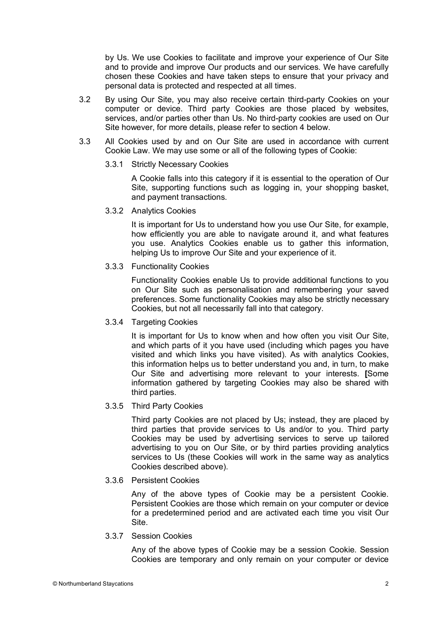by Us. We use Cookies to facilitate and improve your experience of Our Site and to provide and improve Our products and our services. We have carefully chosen these Cookies and have taken steps to ensure that your privacy and personal data is protected and respected at all times.

- 3.2 By using Our Site, you may also receive certain third-party Cookies on your computer or device. Third party Cookies are those placed by websites, services, and/or parties other than Us. No third-party cookies are used on Our Site however, for more details, please refer to section 4 below.
- 3.3 All Cookies used by and on Our Site are used in accordance with current Cookie Law. We may use some or all of the following types of Cookie:
	- 3.3.1 Strictly Necessary Cookies

A Cookie falls into this category if it is essential to the operation of Our Site, supporting functions such as logging in, your shopping basket, and payment transactions.

3.3.2 Analytics Cookies

It is important for Us to understand how you use Our Site, for example, how efficiently you are able to navigate around it, and what features you use. Analytics Cookies enable us to gather this information, helping Us to improve Our Site and your experience of it.

3.3.3 Functionality Cookies

Functionality Cookies enable Us to provide additional functions to you on Our Site such as personalisation and remembering your saved preferences. Some functionality Cookies may also be strictly necessary Cookies, but not all necessarily fall into that category.

3.3.4 Targeting Cookies

It is important for Us to know when and how often you visit Our Site, and which parts of it you have used (including which pages you have visited and which links you have visited). As with analytics Cookies, this information helps us to better understand you and, in turn, to make Our Site and advertising more relevant to your interests. **[**Some information gathered by targeting Cookies may also be shared with third parties.

# 3.3.5 Third Party Cookies

Third party Cookies are not placed by Us; instead, they are placed by third parties that provide services to Us and/or to you. Third party Cookies may be used by advertising services to serve up tailored advertising to you on Our Site, or by third parties providing analytics services to Us (these Cookies will work in the same way as analytics Cookies described above).

### 3.3.6 Persistent Cookies

Any of the above types of Cookie may be a persistent Cookie. Persistent Cookies are those which remain on your computer or device for a predetermined period and are activated each time you visit Our Site.

3.3.7 Session Cookies

Any of the above types of Cookie may be a session Cookie. Session Cookies are temporary and only remain on your computer or device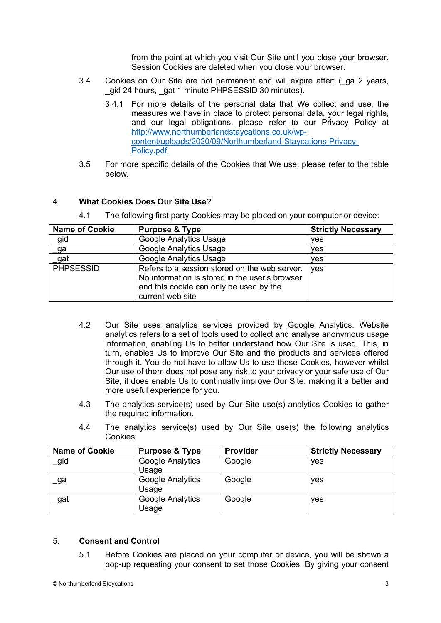from the point at which you visit Our Site until you close your browser. Session Cookies are deleted when you close your browser.

- 3.4 Cookies on Our Site are not permanent and will expire after: (\_ga 2 years, gid 24 hours, gat 1 minute PHPSESSID 30 minutes).
	- 3.4.1 For more details of the personal data that We collect and use, the measures we have in place to protect personal data, your legal rights, and our legal obligations, please refer to our Privacy Policy at http://www.northumberlandstaycations.co.uk/wpcontent/uploads/2020/09/Northumberland-Staycations-Privacy-Policy.pdf
- 3.5 For more specific details of the Cookies that We use, please refer to the table below.

# 4. **What Cookies Does Our Site Use?**

4.1 The following first party Cookies may be placed on your computer or device:

| <b>Name of Cookie</b> | <b>Purpose &amp; Type</b>                                                                                                                                      | <b>Strictly Necessary</b> |
|-----------------------|----------------------------------------------------------------------------------------------------------------------------------------------------------------|---------------------------|
| _gid                  | <b>Google Analytics Usage</b>                                                                                                                                  | yes                       |
| _ga                   | <b>Google Analytics Usage</b>                                                                                                                                  | yes                       |
| _gat                  | <b>Google Analytics Usage</b>                                                                                                                                  | yes                       |
| <b>PHPSESSID</b>      | Refers to a session stored on the web server.<br>No information is stored in the user's browser<br>and this cookie can only be used by the<br>current web site | ves                       |

- 4.2 Our Site uses analytics services provided by Google Analytics. Website analytics refers to a set of tools used to collect and analyse anonymous usage information, enabling Us to better understand how Our Site is used. This, in turn, enables Us to improve Our Site and the products and services offered through it. You do not have to allow Us to use these Cookies, however whilst Our use of them does not pose any risk to your privacy or your safe use of Our Site, it does enable Us to continually improve Our Site, making it a better and more useful experience for you.
- 4.3 The analytics service(s) used by Our Site use(s) analytics Cookies to gather the required information.
- 4.4 The analytics service(s) used by Our Site use(s) the following analytics Cookies:

| <b>Name of Cookie</b> | <b>Purpose &amp; Type</b> | <b>Provider</b> | <b>Strictly Necessary</b> |
|-----------------------|---------------------------|-----------------|---------------------------|
| _gid                  | Google Analytics<br>Usage | Google          | yes                       |
| _ga                   | Google Analytics<br>Usage | Google          | yes                       |
| gat                   | Google Analytics<br>Usage | Google          | yes                       |

# 5. **Consent and Control**

5.1 Before Cookies are placed on your computer or device, you will be shown a pop-up requesting your consent to set those Cookies. By giving your consent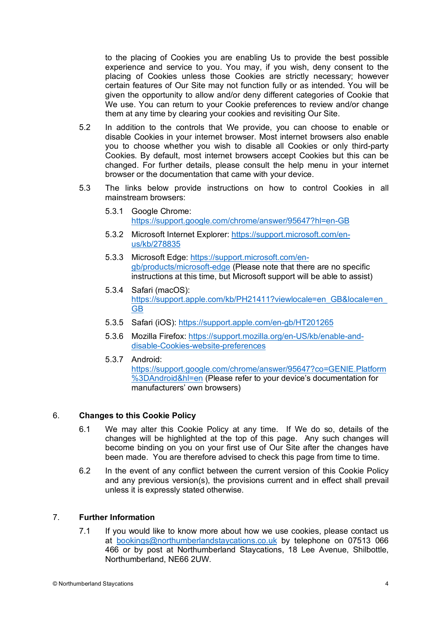to the placing of Cookies you are enabling Us to provide the best possible experience and service to you. You may, if you wish, deny consent to the placing of Cookies unless those Cookies are strictly necessary; however certain features of Our Site may not function fully or as intended. You will be given the opportunity to allow and/or deny different categories of Cookie that We use. You can return to your Cookie preferences to review and/or change them at any time by clearing your cookies and revisiting Our Site.

- 5.2 In addition to the controls that We provide, you can choose to enable or disable Cookies in your internet browser. Most internet browsers also enable you to choose whether you wish to disable all Cookies or only third-party Cookies. By default, most internet browsers accept Cookies but this can be changed. For further details, please consult the help menu in your internet browser or the documentation that came with your device.
- 5.3 The links below provide instructions on how to control Cookies in all mainstream browsers:
	- 5.3.1 Google Chrome: https://support.google.com/chrome/answer/95647?hl=en-GB
	- 5.3.2 Microsoft Internet Explorer: https://support.microsoft.com/enus/kb/278835
	- 5.3.3 Microsoft Edge: https://support.microsoft.com/engb/products/microsoft-edge (Please note that there are no specific instructions at this time, but Microsoft support will be able to assist)
	- 5.3.4 Safari (macOS): https://support.apple.com/kb/PH21411?viewlocale=en\_GB&locale=en GB
	- 5.3.5 Safari (iOS): https://support.apple.com/en-gb/HT201265
	- 5.3.6 Mozilla Firefox: https://support.mozilla.org/en-US/kb/enable-anddisable-Cookies-website-preferences
	- 5.3.7 Android: https://support.google.com/chrome/answer/95647?co=GENIE.Platform %3DAndroid&hl=en (Please refer to your device's documentation for manufacturers' own browsers)

# 6. **Changes to this Cookie Policy**

- 6.1 We may alter this Cookie Policy at any time. If We do so, details of the changes will be highlighted at the top of this page. Any such changes will become binding on you on your first use of Our Site after the changes have been made. You are therefore advised to check this page from time to time.
- 6.2 In the event of any conflict between the current version of this Cookie Policy and any previous version(s), the provisions current and in effect shall prevail unless it is expressly stated otherwise.

# 7. **Further Information**

7.1 If you would like to know more about how we use cookies, please contact us at bookings@northumberlandstaycations.co.uk by telephone on 07513 066 466 or by post at Northumberland Staycations, 18 Lee Avenue, Shilbottle, Northumberland, NE66 2UW.